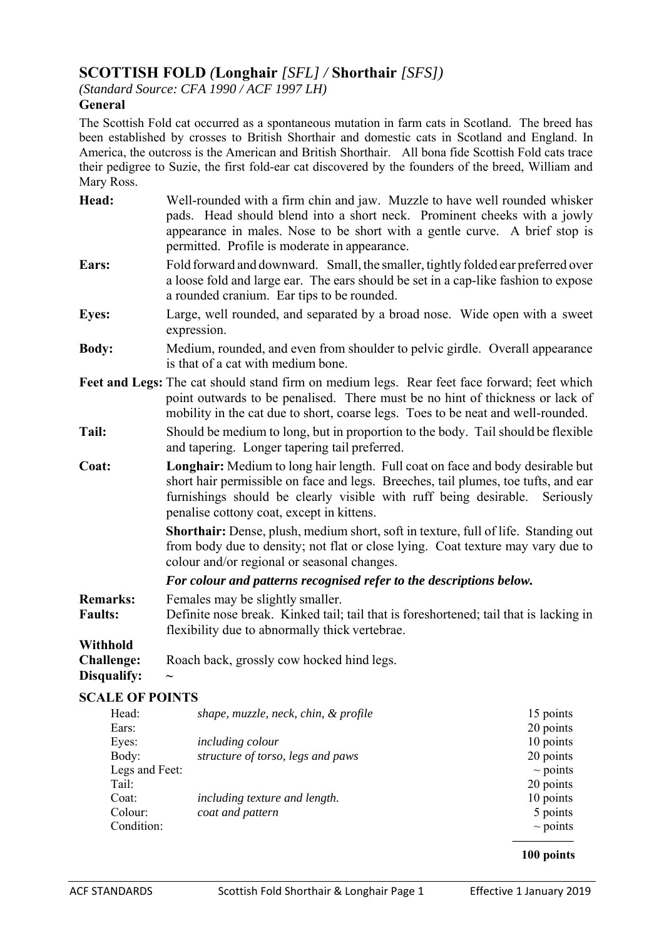# **SCOTTISH FOLD** *(***Longhair** *[SFL] /* **Shorthair** *[SFS])*

*(Standard Source: CFA 1990 / ACF 1997 LH)* 

# **General**

The Scottish Fold cat occurred as a spontaneous mutation in farm cats in Scotland. The breed has been established by crosses to British Shorthair and domestic cats in Scotland and England. In America, the outcross is the American and British Shorthair. All bona fide Scottish Fold cats trace their pedigree to Suzie, the first fold-ear cat discovered by the founders of the breed, William and Mary Ross.

- **Head:** Well-rounded with a firm chin and jaw. Muzzle to have well rounded whisker pads. Head should blend into a short neck. Prominent cheeks with a jowly appearance in males. Nose to be short with a gentle curve. A brief stop is permitted. Profile is moderate in appearance. **Ears:** Fold forward and downward. Small, the smaller, tightly folded ear preferred over a loose fold and large ear. The ears should be set in a cap-like fashion to expose a rounded cranium. Ear tips to be rounded. **Eyes:** Large, well rounded, and separated by a broad nose. Wide open with a sweet expression. **Body:** Medium, rounded, and even from shoulder to pelvic girdle. Overall appearance is that of a cat with medium bone. **Feet and Legs:** The cat should stand firm on medium legs. Rear feet face forward; feet which
- point outwards to be penalised. There must be no hint of thickness or lack of mobility in the cat due to short, coarse legs. Toes to be neat and well-rounded.
- **Tail:** Should be medium to long, but in proportion to the body. Tail should be flexible and tapering. Longer tapering tail preferred.
- **Coat: Longhair:** Medium to long hair length. Full coat on face and body desirable but short hair permissible on face and legs. Breeches, tail plumes, toe tufts, and ear furnishings should be clearly visible with ruff being desirable. Seriously penalise cottony coat, except in kittens.

 **Shorthair:** Dense, plush, medium short, soft in texture, full of life. Standing out from body due to density; not flat or close lying. Coat texture may vary due to colour and/or regional or seasonal changes.

 *For colour and patterns recognised refer to the descriptions below.* 

- **Remarks:** Females may be slightly smaller. **Faults:** Definite nose break. Kinked tail; tail that is foreshortened; tail that is lacking in flexibility due to abnormally thick vertebrae. **Withhold Challenge:** Roach back, grossly cow hocked hind legs.
- Disqualify:

# **SCALE OF POINTS**

| Head:          | shape, muzzle, neck, chin, & profile | 15 points     |
|----------------|--------------------------------------|---------------|
| Ears:          |                                      | 20 points     |
| Eyes:          | <i>including colour</i>              | 10 points     |
| Body:          | structure of torso, legs and paws    | 20 points     |
| Legs and Feet: |                                      | $\sim$ points |
| Tail:          |                                      | 20 points     |
| Coat:          | including texture and length.        | 10 points     |
| Colour:        | coat and pattern                     | 5 points      |
| Condition:     |                                      | $\sim$ points |
|                |                                      |               |

 **100 points**